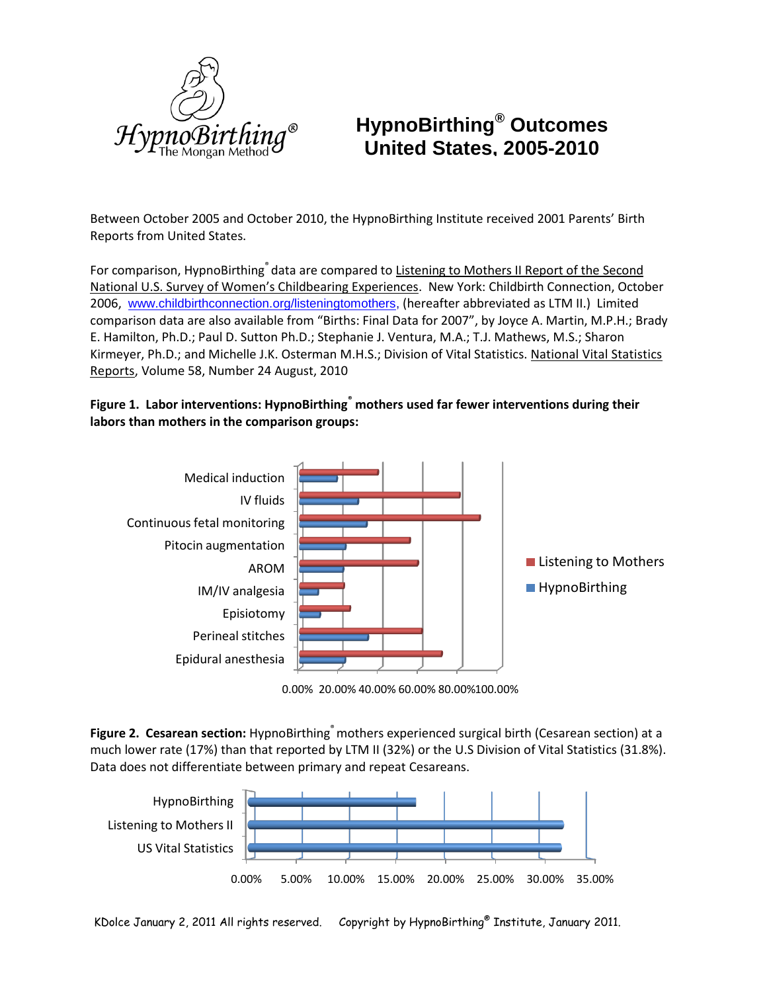

## **HypnoBirthing® Outcomes United States, 2005-2010**

Between October 2005 and October 2010, the HypnoBirthing Institute received 2001 Parents' Birth Reports from United States.

For comparison, HypnoBirthing<sup>®</sup> data are compared to Listening to Mothers II Report of the Second National U.S. Survey of Women's Childbearing Experiences. New York: Childbirth Connection, October 2006, [www.childbirthconnection.org/listeningtomothers,](http://www.childbirthconnection.org/listeningtomothers/) (hereafter abbreviated as LTM II.)Limited comparison data are also available from "Births: Final Data for 2007", by Joyce A. Martin, M.P.H.; Brady E. Hamilton, Ph.D.; Paul D. Sutton Ph.D.; Stephanie J. Ventura, M.A.; T.J. Mathews, M.S.; Sharon Kirmeyer, Ph.D.; and Michelle J.K. Osterman M.H.S.; Division of Vital Statistics. National Vital Statistics Reports, Volume 58, Number 24 August, 2010

## **Figure 1. Labor interventions: HypnoBirthing® mothers used far fewer interventions during their labors than mothers in the comparison groups:**



**Figure 2. Cesarean section:** HypnoBirthing<sup>®</sup> mothers experienced surgical birth (Cesarean section) at a much lower rate (17%) than that reported by LTM II (32%) or the U.S Division of Vital Statistics (31.8%). Data does not differentiate between primary and repeat Cesareans.



KDolce January 2, 2011 All rights reserved. Copyright by HypnoBirthing® Institute, January 2011.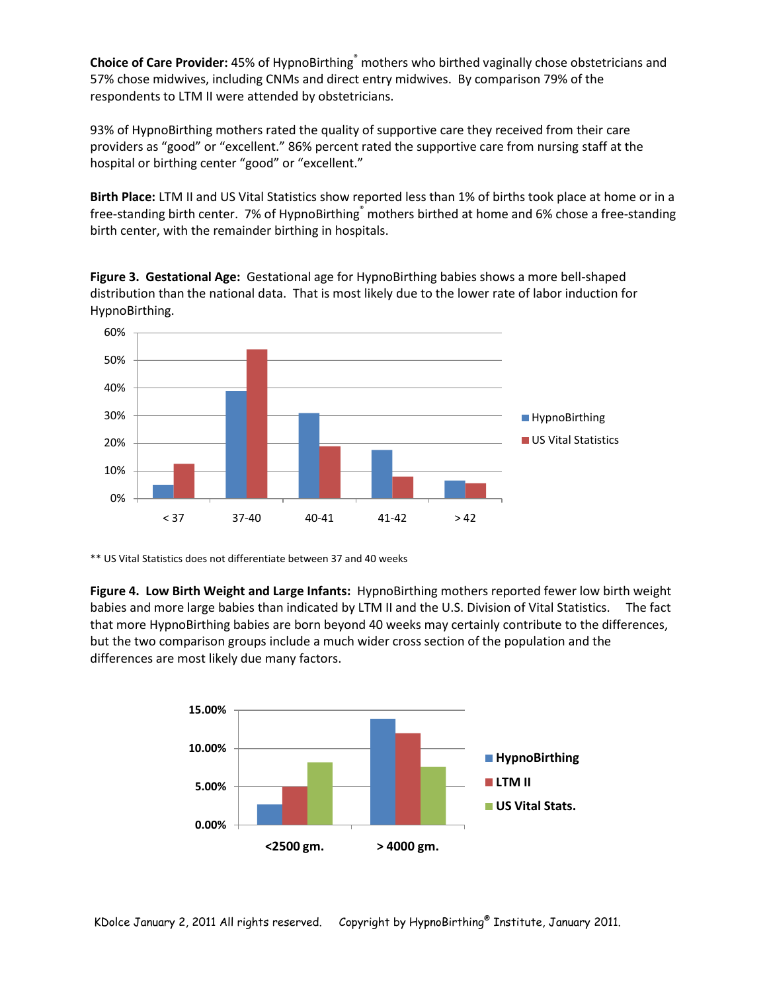**Choice of Care Provider:** 45% of HypnoBirthing® mothers who birthed vaginally chose obstetricians and 57% chose midwives, including CNMs and direct entry midwives. By comparison 79% of the respondents to LTM II were attended by obstetricians.

93% of HypnoBirthing mothers rated the quality of supportive care they received from their care providers as "good" or "excellent." 86% percent rated the supportive care from nursing staff at the hospital or birthing center "good" or "excellent."

**Birth Place:** LTM II and US Vital Statistics show reported less than 1% of births took place at home or in a free-standing birth center. 7% of HypnoBirthing<sup>®</sup> mothers birthed at home and 6% chose a free-standing birth center, with the remainder birthing in hospitals.

**Figure 3. Gestational Age:** Gestational age for HypnoBirthing babies shows a more bell-shaped distribution than the national data. That is most likely due to the lower rate of labor induction for HypnoBirthing.



\*\* US Vital Statistics does not differentiate between 37 and 40 weeks

**Figure 4. Low Birth Weight and Large Infants:** HypnoBirthing mothers reported fewer low birth weight babies and more large babies than indicated by LTM II and the U.S. Division of Vital Statistics. The fact that more HypnoBirthing babies are born beyond 40 weeks may certainly contribute to the differences, but the two comparison groups include a much wider cross section of the population and the differences are most likely due many factors.